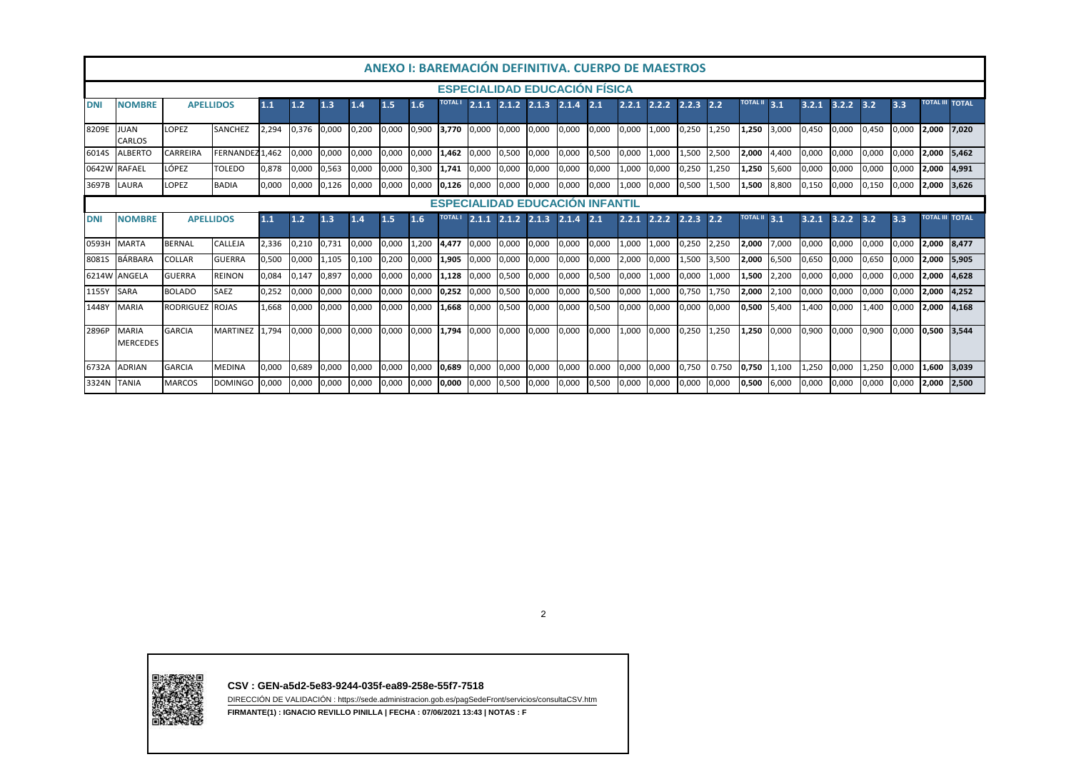| ANEXO I: BAREMACIÓN DEFINITIVA. CUERPO DE MAESTROS |                                      |                  |                 |       |             |       |       |       |       |                         |                         |       |                                        |       |       |       |       |                       |       |              |       |                                  |       |       |       |                        |                        |
|----------------------------------------------------|--------------------------------------|------------------|-----------------|-------|-------------|-------|-------|-------|-------|-------------------------|-------------------------|-------|----------------------------------------|-------|-------|-------|-------|-----------------------|-------|--------------|-------|----------------------------------|-------|-------|-------|------------------------|------------------------|
|                                                    | <b>ESPECIALIDAD EDUCACION FISICA</b> |                  |                 |       |             |       |       |       |       |                         |                         |       |                                        |       |       |       |       |                       |       |              |       |                                  |       |       |       |                        |                        |
| <b>DNI</b>                                         | <b>NOMBRE</b>                        | <b>APELLIDOS</b> |                 | 1.1   | 1.2         | 1.3   | 1.4   | 1.5   | 1.6   | <b>TOTAL I</b>          |                         |       | 2.1.1 2.1.2 2.1.3 2.1.4 2.1            |       |       | 2.2.1 |       | $2.2.2$ $2.2.3$ $2.2$ |       | TOTAL II 3.1 |       | $3.2.1$ $3.\overline{2.2}$ $3.2$ |       |       | 3.3   |                        | <b>TOTAL III TOTAL</b> |
| 8209E                                              | JUAN<br><b>CARLOS</b>                | <b>LOPEZ</b>     | <b>SANCHEZ</b>  | 2.294 | 0,376 0,000 |       | 0,200 | 0,000 | 0,900 | 3,770 0,000 0,000 0,000 |                         |       |                                        | 0,000 | 0.000 | 0,000 | 1,000 | 0,250                 | 1,250 | 1,250        | 3,000 | 0.450                            | 0.000 | 0.450 | 0.000 | 2.000 7.020            |                        |
| 6014S                                              | <b>ALBERTO</b>                       | CARREIRA         | FERNANDEZ 1.462 |       | 0.000       | 0.000 | 0.000 | 0,000 | 0.000 | 1,462                   | 0.000                   | 0,500 | 0,000                                  | 0,000 | 0,500 | 0,000 | 1,000 | 1,500                 | 2,500 | 2,000        | 1,400 | 0,000                            | 0.000 | 0.000 | 0,000 | 2,000                  | 5.462                  |
|                                                    | 0642W RAFAEL                         | LÓPEZ            | TOLEDO          | 0,878 | 0,000       | 0,563 | 0.000 | 0,000 | 0,300 | 1,741                   | 0.000                   | 0,000 | 0,000                                  | 0,000 | 0.000 | 1,000 | 0,000 | 0,250                 | 1,250 | 1,250        | 5,600 | 0,000                            | 0.000 | 0,000 | 0,000 | 2,000                  | 4,991                  |
| 3697B                                              | LAURA                                | LOPEZ            | <b>BADIA</b>    | 0,000 | 0,000       | 0,126 | 0,000 | 0,000 | 0,000 | 0,126                   | 0.000                   | 0,000 | 0,000                                  | 0,000 | 0,000 | 1,000 | 0,000 | 0,500                 | 1,500 | 1,500        | 8,800 | 0,150                            | 0,000 | 0,150 | 0,000 | 2,000                  | 3,626                  |
|                                                    |                                      |                  |                 |       |             |       |       |       |       |                         |                         |       | <b>ESPECIALIDAD EDUCACION INFANTIL</b> |       |       |       |       |                       |       |              |       |                                  |       |       |       |                        |                        |
| <b>DNI</b>                                         | <b>NOMBRE</b>                        | <b>APELLIDOS</b> |                 | 1.1   | 1.2         | 1.3   | 1.4   | 1.5   | 1.6   | <b>TOTAL I</b>          | $2.1.1$ $2.1.2$ $2.1.3$ |       |                                        | 2.1.4 | 2.1   | 2.2.1 | 2.2.2 | $2.2.3$ $2.2$         |       | TOTAL II 3.1 |       | 3.2.1                            | 3.2.2 | 3.2   | 3.3   | <b>TOTAL III TOTAL</b> |                        |
| 0593H                                              | <b>MARTA</b>                         | <b>BERNAL</b>    | <b>CALLEJA</b>  | 2,336 | 0,210       | 0,731 | 0.000 | 0,000 | 1,200 | 4.477                   | 0.000                   | 0,000 | 0,000                                  | 0,000 | 0.000 | 1,000 | 1.000 | 0,250                 | 2,250 | 2,000        | 7,000 | 0.000                            | 0.000 | 0,000 | 0.000 | 2,000                  | 8.477                  |
| 8081S                                              | <b>BÁRBARA</b>                       | <b>COLLAR</b>    | <b>GUERRA</b>   | 0,500 | 0,000       | 1.105 | 0.100 | 0,200 | 0.000 | 1,905                   | 0.000                   | 0,000 | 0.000                                  | 0,000 | 0.000 | 2,000 | 0,000 | 1,500                 | 3.500 | 2,000        | 6,500 | 0,650                            | 0.000 | 0,650 | 0,000 | 2,000                  | 5.905                  |
|                                                    | 6214W ANGELA                         | <b>GUERRA</b>    | <b>REINON</b>   | 0.084 | 0,147       | 0,897 | 0.000 | 0,000 | 0,000 | 1,128                   | 0.000                   | 0,500 | 0,000                                  | 0,000 | 0,500 | 0,000 | 1,000 | 0,000                 | 1,000 | 1,500        | 2,200 | 0,000                            | 0,000 | 0,000 | 0,000 | 2,000                  | 4.628                  |
| 1155Y                                              | <b>SARA</b>                          | <b>BOLADO</b>    | <b>SAEZ</b>     | 0,252 | 0,000       | 0,000 | 0,000 | 0,000 | 0,000 | 0,252                   | 0,000                   | 0,500 | 0,000                                  | 0,000 | 0,500 | 0,000 | 1,000 | 0,750                 | 1.750 | 2,000        | 2,100 | 0,000                            | 0,000 | 0,000 | 0,000 | 2,000                  | 4,252                  |
| 1448Y                                              | MARIA                                | RODRIGUEZ ROJAS  |                 | 1.668 | 0,000       | 0.000 | 0,000 | 0.000 | 0,000 | 1,668                   | 0,000                   | 0,500 | 0,000                                  | 0,000 | 0,500 | 0,000 | 0,000 | 0,000                 | 0,000 | 0,500        | 5.400 | 1.400                            | 0.000 | 1.400 | 0,000 | 2,000                  | 4.168                  |
| 2896P                                              | MARIA<br><b>MERCEDES</b>             | <b>GARCIA</b>    | <b>MARTINEZ</b> | 1.794 | 0.000       | 0.000 | 0.000 | 0.000 | 0,000 | 1.794                   | 0.000                   | 0.000 | 0.000                                  | 0.000 | 0.000 | 1,000 | 0.000 | 0.250                 | 1.250 | 1.250        | 0.000 | 0.900                            | 0.000 | 0.900 | 0.000 | 0.500 3.544            |                        |
| 6732A                                              | <b>ADRIAN</b>                        | <b>GARCIA</b>    | <b>MEDINA</b>   | 0,000 | 0,689       | 0,000 | 0,000 | 0,000 | 0,000 | 0,689                   | 0.000                   | 0,000 | 0,000                                  | 0,000 | 0.000 | 0,000 | 0,000 | 0,750                 | 0.750 | 0,750        | 1,100 | 1,250                            | 0.000 | 1,250 | 0,000 | 1,600                  | 3.039                  |
| 3324N TANIA                                        |                                      | <b>MARCOS</b>    | <b>DOMINGO</b>  | 0.000 | 0,000       | 0,000 | 0.000 | 0,000 | 0,000 | 0,000                   | 0.000                   | 0,500 | 0,000                                  | 0,000 | 0,500 | 0,000 | 0,000 | 0,000                 | 0.000 | 0,500        | 6,000 | 0,000                            | 0.000 | 0,000 | 0,000 | 2.000                  | 2,500                  |

2



**CSV : GEN-a5d2-5e83-9244-035f-ea89-258e-55f7-7518**

 DIRECCIÓN DE VALIDACIÓN : https://sede.administracion.gob.es/pagSedeFront/servicios/consultaCSV.htm**FIRMANTE(1) : IGNACIO REVILLO PINILLA | FECHA : 07/06/2021 13:43 | NOTAS : F**